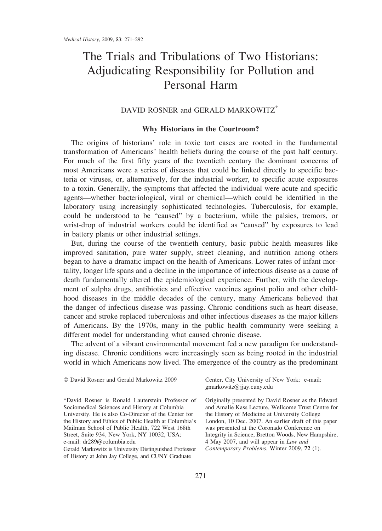# The Trials and Tribulations of Two Historians: Adjudicating Responsibility for Pollution and Personal Harm

# DAVID ROSNER and GERALD MARKOWITZ<sup>\*</sup>

## Why Historians in the Courtroom?

The origins of historians' role in toxic tort cases are rooted in the fundamental transformation of Americans' health beliefs during the course of the past half century. For much of the first fifty years of the twentieth century the dominant concerns of most Americans were a series of diseases that could be linked directly to specific bacteria or viruses, or, alternatively, for the industrial worker, to specific acute exposures to a toxin. Generally, the symptoms that affected the individual were acute and specific agents—whether bacteriological, viral or chemical—which could be identified in the laboratory using increasingly sophisticated technologies. Tuberculosis, for example, could be understood to be "caused" by a bacterium, while the palsies, tremors, or wrist-drop of industrial workers could be identified as "caused" by exposures to lead in battery plants or other industrial settings.

But, during the course of the twentieth century, basic public health measures like improved sanitation, pure water supply, street cleaning, and nutrition among others began to have a dramatic impact on the health of Americans. Lower rates of infant mortality, longer life spans and a decline in the importance of infectious disease as a cause of death fundamentally altered the epidemiological experience. Further, with the development of sulpha drugs, antibiotics and effective vaccines against polio and other childhood diseases in the middle decades of the century, many Americans believed that the danger of infectious disease was passing. Chronic conditions such as heart disease, cancer and stroke replaced tuberculosis and other infectious diseases as the major killers of Americans. By the 1970s, many in the public health community were seeking a different model for understanding what caused chronic disease.

The advent of a vibrant environmental movement fed a new paradigm for understanding disease. Chronic conditions were increasingly seen as being rooted in the industrial world in which Americans now lived. The emergence of the country as the predominant

| © David Rosner and Gerald Markowitz 2009                                                                                                                                                                                                                                                                                                                                                                                                                          | Center, City University of New York; e-mail:<br>gmarkowitz@ijay.cuny.edu                                                                                                                                                                                                                                                                                                                                         |
|-------------------------------------------------------------------------------------------------------------------------------------------------------------------------------------------------------------------------------------------------------------------------------------------------------------------------------------------------------------------------------------------------------------------------------------------------------------------|------------------------------------------------------------------------------------------------------------------------------------------------------------------------------------------------------------------------------------------------------------------------------------------------------------------------------------------------------------------------------------------------------------------|
| *David Rosner is Ronald Lauterstein Professor of<br>Sociomedical Sciences and History at Columbia<br>University. He is also Co-Director of the Center for<br>the History and Ethics of Public Health at Columbia's<br>Mailman School of Public Health, 722 West 168th<br>Street, Suite 934, New York, NY 10032, USA:<br>e-mail: dr289@columbia.edu<br>Gerald Markowitz is University Distinguished Professor<br>of History at John Jay College, and CUNY Graduate | Originally presented by David Rosner as the Edward<br>and Amalie Kass Lecture, Wellcome Trust Centre for<br>the History of Medicine at University College<br>London, 10 Dec. 2007. An earlier draft of this paper<br>was presented at the Coronado Conference on<br>Integrity in Science, Bretton Woods, New Hampshire,<br>4 May 2007, and will appear in Law and<br>Contemporary Problems, Winter 2009, 72 (1). |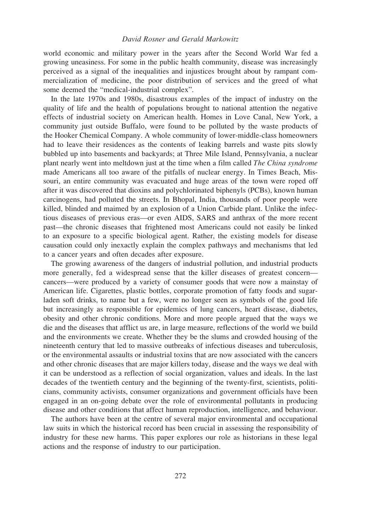world economic and military power in the years after the Second World War fed a growing uneasiness. For some in the public health community, disease was increasingly perceived as a signal of the inequalities and injustices brought about by rampant commercialization of medicine, the poor distribution of services and the greed of what some deemed the "medical-industrial complex".

In the late 1970s and 1980s, disastrous examples of the impact of industry on the quality of life and the health of populations brought to national attention the negative effects of industrial society on American health. Homes in Love Canal, New York, a community just outside Buffalo, were found to be polluted by the waste products of the Hooker Chemical Company. A whole community of lower-middle-class homeowners had to leave their residences as the contents of leaking barrels and waste pits slowly bubbled up into basements and backyards; at Three Mile Island, Pennsylvania, a nuclear plant nearly went into meltdown just at the time when a film called The China syndrome made Americans all too aware of the pitfalls of nuclear energy. In Times Beach, Missouri, an entire community was evacuated and huge areas of the town were roped off after it was discovered that dioxins and polychlorinated biphenyls (PCBs), known human carcinogens, had polluted the streets. In Bhopal, India, thousands of poor people were killed, blinded and maimed by an explosion of a Union Carbide plant. Unlike the infectious diseases of previous eras—or even AIDS, SARS and anthrax of the more recent past—the chronic diseases that frightened most Americans could not easily be linked to an exposure to a specific biological agent. Rather, the existing models for disease causation could only inexactly explain the complex pathways and mechanisms that led to a cancer years and often decades after exposure.

The growing awareness of the dangers of industrial pollution, and industrial products more generally, fed a widespread sense that the killer diseases of greatest concern cancers—were produced by a variety of consumer goods that were now a mainstay of American life. Cigarettes, plastic bottles, corporate promotion of fatty foods and sugarladen soft drinks, to name but a few, were no longer seen as symbols of the good life but increasingly as responsible for epidemics of lung cancers, heart disease, diabetes, obesity and other chronic conditions. More and more people argued that the ways we die and the diseases that afflict us are, in large measure, reflections of the world we build and the environments we create. Whether they be the slums and crowded housing of the nineteenth century that led to massive outbreaks of infectious diseases and tuberculosis, or the environmental assaults or industrial toxins that are now associated with the cancers and other chronic diseases that are major killers today, disease and the ways we deal with it can be understood as a reflection of social organization, values and ideals. In the last decades of the twentieth century and the beginning of the twenty-first, scientists, politicians, community activists, consumer organizations and government officials have been engaged in an on-going debate over the role of environmental pollutants in producing disease and other conditions that affect human reproduction, intelligence, and behaviour.

The authors have been at the centre of several major environmental and occupational law suits in which the historical record has been crucial in assessing the responsibility of industry for these new harms. This paper explores our role as historians in these legal actions and the response of industry to our participation.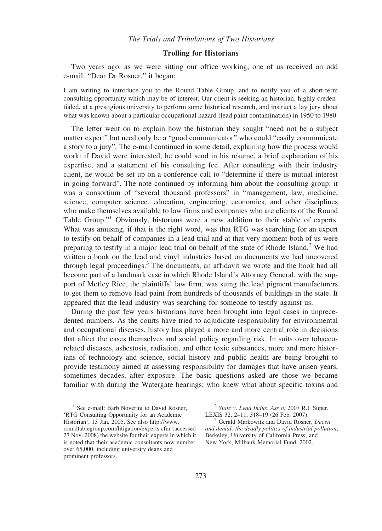## Trolling for Historians

Two years ago, as we were sitting our office working, one of us received an odd e-mail. "Dear Dr Rosner," it began:

I am writing to introduce you to the Round Table Group, and to notify you of a short-term consulting opportunity which may be of interest. Our client is seeking an historian, highly credentialed, at a prestigious university to perform some historical research, and instruct a lay jury about what was known about a particular occupational hazard (lead paint contamination) in 1950 to 1980.

The letter went on to explain how the historian they sought "need not be a subject matter expert" but need only be a "good communicator" who could "easily communicate a story to a jury". The e-mail continued in some detail, explaining how the process would work: if David were interested, he could send in his resume, a brief explanation of his expertise, and a statement of his consulting fee. After consulting with their industry client, he would be set up on a conference call to "determine if there is mutual interest in going forward". The note continued by informing him about the consulting group: it was a consortium of "several thousand professors" in "management, law, medicine, science, computer science, education, engineering, economics, and other disciplines who make themselves available to law firms and companies who are clients of the Round Table Group."<sup>1</sup> Obviously, historians were a new addition to their stable of experts. What was amusing, if that is the right word, was that RTG was searching for an expert to testify on behalf of companies in a lead trial and at that very moment both of us were preparing to testify in a major lead trial on behalf of the state of Rhode Island.<sup>2</sup> We had written a book on the lead and vinyl industries based on documents we had uncovered through legal proceedings. $3$  The documents, an affidavit we wrote and the book had all become part of a landmark case in which Rhode Island's Attorney General, with the support of Motley Rice, the plaintiffs' law firm, was suing the lead pigment manufacturers to get them to remove lead paint from hundreds of thousands of buildings in the state. It appeared that the lead industry was searching for someone to testify against us.

During the past few years historians have been brought into legal cases in unprecedented numbers. As the courts have tried to adjudicate responsibility for environmental and occupational diseases, history has played a more and more central role in decisions that affect the cases themselves and social policy regarding risk. In suits over tobaccorelated diseases, asbestosis, radiation, and other toxic substances, more and more historians of technology and science, social history and public health are being brought to provide testimony aimed at assessing responsibility for damages that have arisen years, sometimes decades, after exposure. The basic questions asked are those we became familiar with during the Watergate hearings: who knew what about specific toxins and

<sup>1</sup> See e-mail: Barb Noverini to David Rosner, 'RTG Consulting Opportunity for an Academic Historian', 13 Jan. 2005. See also [http://www.](http://www) roundtablegroup.com/litigation/experts.cfm (accessed 27 Nov. 2008) the website for their experts in which it is noted that their academic consultants now number over 65,000, including university deans and prominent professors.

 $2$  State v. Lead Indus. Ass' n, 2007 R.I. Super.<br>LEXIS 32, 2-11, 318-19 (26 Feb. 2007).

Gerald Markowitz and David Rosner, Deceit and denial: the deadly politics of industrial pollution, Berkeley, University of California Press; and New York, Milbank Memorial Fund, 2002.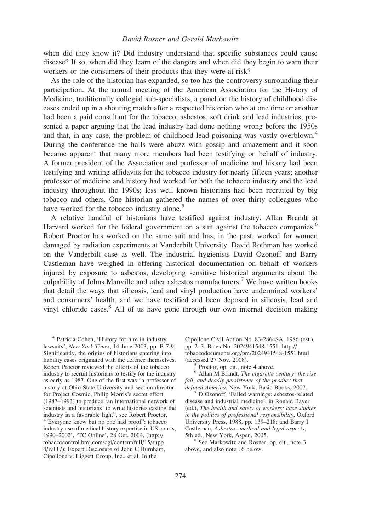when did they know it? Did industry understand that specific substances could cause disease? If so, when did they learn of the dangers and when did they begin to warn their workers or the consumers of their products that they were at risk?

As the role of the historian has expanded, so too has the controversy surrounding their participation. At the annual meeting of the American Association for the History of Medicine, traditionally collegial sub-specialists, a panel on the history of childhood diseases ended up in a shouting match after a respected historian who at one time or another had been a paid consultant for the tobacco, asbestos, soft drink and lead industries, presented a paper arguing that the lead industry had done nothing wrong before the 1950s and that, in any case, the problem of childhood lead poisoning was vastly overblown.<sup>4</sup> During the conference the halls were abuzz with gossip and amazement and it soon became apparent that many more members had been testifying on behalf of industry. A former president of the Association and professor of medicine and history had been testifying and writing affidavits for the tobacco industry for nearly fifteen years; another professor of medicine and history had worked for both the tobacco industry and the lead industry throughout the 1990s; less well known historians had been recruited by big tobacco and others. One historian gathered the names of over thirty colleagues who have worked for the tobacco industry alone.<sup>5</sup>

A relative handful of historians have testified against industry. Allan Brandt at Harvard worked for the federal government on a suit against the tobacco companies.<sup>6</sup> Robert Proctor has worked on the same suit and has, in the past, worked for women damaged by radiation experiments at Vanderbilt University. David Rothman has worked on the Vanderbilt case as well. The industrial hygienists David Ozonoff and Barry Castleman have weighed in offering historical documentation on behalf of workers injured by exposure to asbestos, developing sensitive historical arguments about the culpability of Johns Manville and other asbestos manufacturers.<sup>7</sup> We have written books that detail the ways that silicosis, lead and vinyl production have undermined workers' and consumers' health, and we have testified and been deposed in silicosis, lead and vinyl chloride cases.<sup>8</sup> All of us have gone through our own internal decision making

<sup>4</sup> Patricia Cohen, 'History for hire in industry lawsuits', New York Times, 14 June 2003, pp. B-7-9; Significantly, the origins of historians entering into liability cases originated with the defence themselves. Robert Proctor reviewed the efforts of the tobacco industry to recruit historians to testify for the industry as early as 1987. One of the first was "a professor of history at Ohio State University and section director for Project Cosmic, Philip Morris's secret effort (1987–1993) to produce 'an international network of scientists and historians' to write histories casting the industry in a favorable light", see Robert Proctor, '"Everyone knew but no one had proof": tobacco industry use of medical history expertise in US courts, 1990–2002', 'TC Online', 28 Oct. 2004, [\(http://](http://) tobaccocontrol.bmj.com/cgi/content/full/15/supp\_ 4/iv117); Expert Disclosure of John C Burnham, Cipollone v. Liggett Group, Inc., et al. In the

Cipollone Civil Action No. 83-2864SA, 1986 (est.), pp. 2–3. Bates No. 2024941548-1551.<http://> tobaccodocuments.org/pm/2024941548-1551.html<br>(accessed 27 Nov. 2008).

 $\frac{5}{6}$  Proctor, op. cit., note 4 above.<br> $\frac{6}{6}$  Allan M Brandt, *The cigarette century: the rise*, fall, and deadly persistence of the product that

defined America, New York, Basic Books, 2007.<br><sup>7</sup> D Ozonoff, 'Failed warnings: asbestos-related disease and industrial medicine', in Ronald Bayer (ed.), The health and safety of workers: case studies in the politics of professional responsibility, Oxford University Press, 1988, pp. 139–218; and Barry I Castleman, Asbestos: medical and legal aspects, 5th ed., New York. Aspen. 2005.

<sup>8</sup> See Markowitz and Rosner, op. cit., note 3 above, and also note 16 below.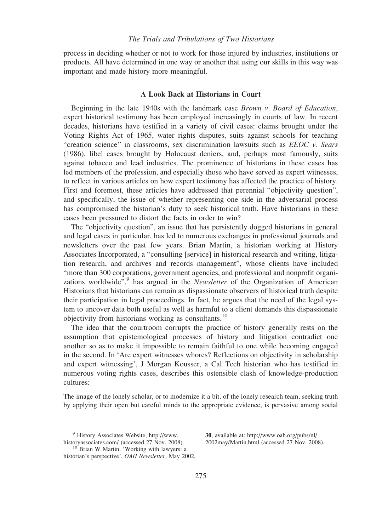process in deciding whether or not to work for those injured by industries, institutions or products. All have determined in one way or another that using our skills in this way was important and made history more meaningful.

## A Look Back at Historians in Court

Beginning in the late 1940s with the landmark case Brown v. Board of Education, expert historical testimony has been employed increasingly in courts of law. In recent decades, historians have testified in a variety of civil cases: claims brought under the Voting Rights Act of 1965, water rights disputes, suits against schools for teaching "creation science" in classrooms, sex discrimination lawsuits such as  $EEOC$  v. Sears (1986), libel cases brought by Holocaust deniers, and, perhaps most famously, suits against tobacco and lead industries. The prominence of historians in these cases has led members of the profession, and especially those who have served as expert witnesses, to reflect in various articles on how expert testimony has affected the practice of history. First and foremost, these articles have addressed that perennial "objectivity question", and specifically, the issue of whether representing one side in the adversarial process has compromised the historian's duty to seek historical truth. Have historians in these cases been pressured to distort the facts in order to win?

The "objectivity question", an issue that has persistently dogged historians in general and legal cases in particular, has led to numerous exchanges in professional journals and newsletters over the past few years. Brian Martin, a historian working at History Associates Incorporated, a "consulting [service] in historical research and writing, litigation research, and archives and records management", whose clients have included "more than 300 corporations, government agencies, and professional and nonprofit organizations worldwide", $9$  has argued in the *Newsletter* of the Organization of American Historians that historians can remain as dispassionate observers of historical truth despite their participation in legal proceedings. In fact, he argues that the need of the legal system to uncover data both useful as well as harmful to a client demands this dispassionate objectivity from historians working as consultants.<sup>10</sup>

The idea that the courtroom corrupts the practice of history generally rests on the assumption that epistemological processes of history and litigation contradict one another so as to make it impossible to remain faithful to one while becoming engaged in the second. In 'Are expert witnesses whores? Reflections on objectivity in scholarship and expert witnessing', J Morgan Kousser, a Cal Tech historian who has testified in numerous voting rights cases, describes this ostensible clash of knowledge-production cultures:

The image of the lonely scholar, or to modernize it a bit, of the lonely research team, seeking truth by applying their open but careful minds to the appropriate evidence, is pervasive among social

historian's perspective', OAH Newsletter, May 2002,

30, available at:<http://www.oah.org/pubs/nl/> 2002may/Martin.html (accessed 27 Nov. 2008).

<sup>&</sup>lt;sup>9</sup> History Associates Website, [http://www.](http://www)<br>historyassociates.com/ (accessed 27 Nov. 2008).  $10^{10}$  Brian W Martin, 'Working with lawyers: a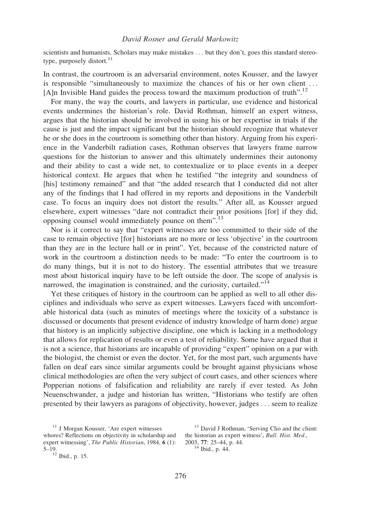scientists and humanists. Scholars may make mistakes ... but they don't, goes this standard stereotype, purposely distort. $11$ 

In contrast, the courtroom is an adversarial environment, notes Kousser, and the lawyer is responsible "simultaneously to maximize the chances of his or her own client ... [A]n Invisible Hand guides the process toward the maximum production of truth".<sup>12</sup>

For many, the way the courts, and lawyers in particular, use evidence and historical events undermines the historian's role. David Rothman, himself an expert witness, argues that the historian should be involved in using his or her expertise in trials if the cause is just and the impact significant but the historian should recognize that whatever he or she does in the courtroom is something other than history. Arguing from his experience in the Vanderbilt radiation cases, Rothman observes that lawyers frame narrow questions for the historian to answer and this ultimately undermines their autonomy and their ability to cast a wide net, to contextualize or to place events in a deeper historical context. He argues that when he testified "the integrity and soundness of [his] testimony remained" and that "the added research that I conducted did not alter any of the findings that I had offered in my reports and depositions in the Vanderbilt case. To focus an inquiry does not distort the results." After all, as Kousser argued elsewhere, expert witnesses "dare not contradict their prior positions [for] if they did, opposing counsel would immediately pounce on them".<sup>13</sup>

Nor is it correct to say that "expert witnesses are too committed to their side of the case to remain objective [for] historians are no more or less 'objective' in the courtroom than they are in the lecture hall or in print". Yet, because of the constricted nature of work in the courtroom a distinction needs to be made: "To enter the courtroom is to do many things, but it is not to do history. The essential attributes that we treasure most about historical inquiry have to be left outside the door. The scope of analysis is narrowed, the imagination is constrained, and the curiosity, curtailed."<sup>14</sup>

Yet these critiques of history in the courtroom can be applied as well to all other disciplines and individuals who serve as expert witnesses. Lawyers faced with uncomfortable historical data (such as minutes of meetings where the toxicity of a substance is discussed or documents that present evidence of industry knowledge of harm done) argue that history is an implicitly subjective discipline, one which is lacking in a methodology that allows for replication of results or even a test of reliability. Some have argued that it is not a science, that historians are incapable of providing "expert" opinion on a par with the biologist, the chemist or even the doctor. Yet, for the most part, such arguments have fallen on deaf ears since similar arguments could be brought against physicians whose clinical methodologies are often the very subject of court cases, and other sciences where Popperian notions of falsification and reliability are rarely if ever tested. As John Neuenschwander, a judge and historian has written, "Historians who testify are often presented by their lawyers as paragons of objectivity, however, judges ... seem to realize

<sup>11</sup> J Morgan Kousser, 'Are expert witnesses whores? Reflections on objectivity in scholarship and expert witnessing', The Public Historian, 1984, 6 (1):  $5-19.$  Ibid., p. 15.

<sup>13</sup> David J Rothman, 'Serving Clio and the client: the historian as expert witness', Bull. Hist. Med., 2003, 77: 25–44, p. 44.<br><sup>14</sup> Ibid., p. 44.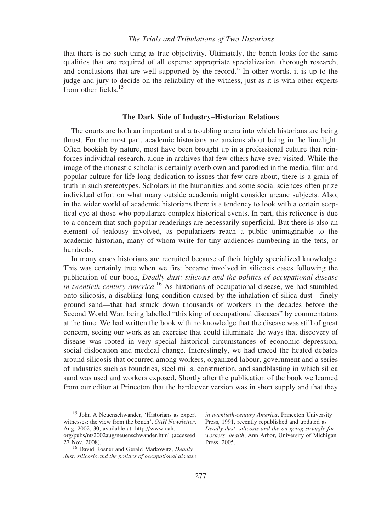that there is no such thing as true objectivity. Ultimately, the bench looks for the same qualities that are required of all experts: appropriate specialization, thorough research, and conclusions that are well supported by the record." In other words, it is up to the judge and jury to decide on the reliability of the witness, just as it is with other experts from other fields.<sup>15</sup>

## The Dark Side of Industry–Historian Relations

The courts are both an important and a troubling arena into which historians are being thrust. For the most part, academic historians are anxious about being in the limelight. Often bookish by nature, most have been brought up in a professional culture that reinforces individual research, alone in archives that few others have ever visited. While the image of the monastic scholar is certainly overblown and parodied in the media, film and popular culture for life-long dedication to issues that few care about, there is a grain of truth in such stereotypes. Scholars in the humanities and some social sciences often prize individual effort on what many outside academia might consider arcane subjects. Also, in the wider world of academic historians there is a tendency to look with a certain sceptical eye at those who popularize complex historical events. In part, this reticence is due to a concern that such popular renderings are necessarily superficial. But there is also an element of jealousy involved, as popularizers reach a public unimaginable to the academic historian, many of whom write for tiny audiences numbering in the tens, or hundreds.

In many cases historians are recruited because of their highly specialized knowledge. This was certainly true when we first became involved in silicosis cases following the publication of our book, Deadly dust: silicosis and the politics of occupational disease in twentieth-century America.<sup>16</sup> As historians of occupational disease, we had stumbled onto silicosis, a disabling lung condition caused by the inhalation of silica dust—finely ground sand—that had struck down thousands of workers in the decades before the Second World War, being labelled "this king of occupational diseases" by commentators at the time. We had written the book with no knowledge that the disease was still of great concern, seeing our work as an exercise that could illuminate the ways that discovery of disease was rooted in very special historical circumstances of economic depression, social dislocation and medical change. Interestingly, we had traced the heated debates around silicosis that occurred among workers, organized labour, government and a series of industries such as foundries, steel mills, construction, and sandblasting in which silica sand was used and workers exposed. Shortly after the publication of the book we learned from our editor at Princeton that the hardcover version was in short supply and that they

in twentieth-century America, Princeton University Press, 1991, recently republished and updated as Deadly dust: silicosis and the on-going struggle for workers' health, Ann Arbor, University of Michigan Press, 2005.

<sup>15</sup> John A Neuenschwander, 'Historians as expert witnesses: the view from the bench', OAH Newsletter, Aug. 2002, 30, available at: [http://www.oah.](http://www.oah) org/pubs/nt/2002aug/neuenschwander.html (accessed

<sup>27</sup> Nov. 2008). <sup>16</sup> David Rosner and Gerald Markowitz, Deadly dust: silicosis and the politics of occupational disease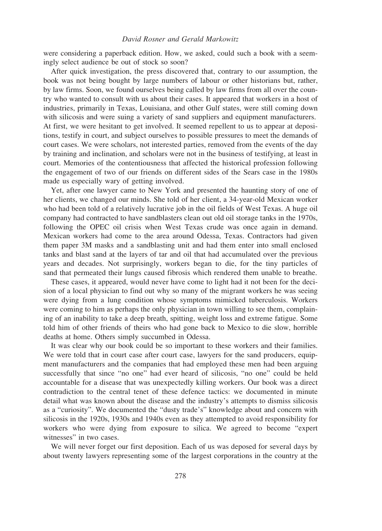were considering a paperback edition. How, we asked, could such a book with a seemingly select audience be out of stock so soon?

After quick investigation, the press discovered that, contrary to our assumption, the book was not being bought by large numbers of labour or other historians but, rather, by law firms. Soon, we found ourselves being called by law firms from all over the country who wanted to consult with us about their cases. It appeared that workers in a host of industries, primarily in Texas, Louisiana, and other Gulf states, were still coming down with silicosis and were suing a variety of sand suppliers and equipment manufacturers. At first, we were hesitant to get involved. It seemed repellent to us to appear at depositions, testify in court, and subject ourselves to possible pressures to meet the demands of court cases. We were scholars, not interested parties, removed from the events of the day by training and inclination, and scholars were not in the business of testifying, at least in court. Memories of the contentiousness that affected the historical profession following the engagement of two of our friends on different sides of the Sears case in the 1980s made us especially wary of getting involved.

Yet, after one lawyer came to New York and presented the haunting story of one of her clients, we changed our minds. She told of her client, a 34-year-old Mexican worker who had been told of a relatively lucrative job in the oil fields of West Texas. A huge oil company had contracted to have sandblasters clean out old oil storage tanks in the 1970s, following the OPEC oil crisis when West Texas crude was once again in demand. Mexican workers had come to the area around Odessa, Texas. Contractors had given them paper 3M masks and a sandblasting unit and had them enter into small enclosed tanks and blast sand at the layers of tar and oil that had accumulated over the previous years and decades. Not surprisingly, workers began to die, for the tiny particles of sand that permeated their lungs caused fibrosis which rendered them unable to breathe.

These cases, it appeared, would never have come to light had it not been for the decision of a local physician to find out why so many of the migrant workers he was seeing were dying from a lung condition whose symptoms mimicked tuberculosis. Workers were coming to him as perhaps the only physician in town willing to see them, complaining of an inability to take a deep breath, spitting, weight loss and extreme fatigue. Some told him of other friends of theirs who had gone back to Mexico to die slow, horrible deaths at home. Others simply succumbed in Odessa.

It was clear why our book could be so important to these workers and their families. We were told that in court case after court case, lawyers for the sand producers, equipment manufacturers and the companies that had employed these men had been arguing successfully that since "no one" had ever heard of silicosis, "no one" could be held accountable for a disease that was unexpectedly killing workers. Our book was a direct contradiction to the central tenet of these defence tactics: we documented in minute detail what was known about the disease and the industry's attempts to dismiss silicosis as a "curiosity". We documented the "dusty trade's" knowledge about and concern with silicosis in the 1920s, 1930s and 1940s even as they attempted to avoid responsibility for workers who were dying from exposure to silica. We agreed to become "expert witnesses" in two cases.

We will never forget our first deposition. Each of us was deposed for several days by about twenty lawyers representing some of the largest corporations in the country at the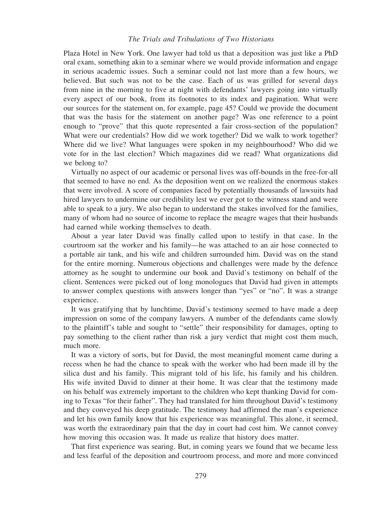Plaza Hotel in New York. One lawyer had told us that a deposition was just like a PhD oral exam, something akin to a seminar where we would provide information and engage in serious academic issues. Such a seminar could not last more than a few hours, we believed. But such was not to be the case. Each of us was grilled for several days from nine in the morning to five at night with defendants' lawyers going into virtually every aspect of our book, from its footnotes to its index and pagination. What were our sources for the statement on, for example, page 45? Could we provide the document that was the basis for the statement on another page? Was one reference to a point enough to "prove" that this quote represented a fair cross-section of the population? What were our credentials? How did we work together? Did we walk to work together? Where did we live? What languages were spoken in my neighbourhood? Who did we vote for in the last election? Which magazines did we read? What organizations did we belong to?

Virtually no aspect of our academic or personal lives was off-bounds in the free-for-all that seemed to have no end. As the deposition went on we realized the enormous stakes that were involved. A score of companies faced by potentially thousands of lawsuits had hired lawyers to undermine our credibility lest we ever got to the witness stand and were able to speak to a jury. We also began to understand the stakes involved for the families, many of whom had no source of income to replace the meagre wages that their husbands had earned while working themselves to death.

About a year later David was finally called upon to testify in that case. In the courtroom sat the worker and his family—he was attached to an air hose connected to a portable air tank, and his wife and children surrounded him. David was on the stand for the entire morning. Numerous objections and challenges were made by the defence attorney as he sought to undermine our book and David's testimony on behalf of the client. Sentences were picked out of long monologues that David had given in attempts to answer complex questions with answers longer than "yes" or "no". It was a strange experience.

It was gratifying that by lunchtime, David's testimony seemed to have made a deep impression on some of the company lawyers. A number of the defendants came slowly to the plaintiff's table and sought to "settle" their responsibility for damages, opting to pay something to the client rather than risk a jury verdict that might cost them much, much more.

It was a victory of sorts, but for David, the most meaningful moment came during a recess when he had the chance to speak with the worker who had been made ill by the silica dust and his family. This migrant told of his life, his family and his children. His wife invited David to dinner at their home. It was clear that the testimony made on his behalf was extremely important to the children who kept thanking David for coming to Texas "for their father". They had translated for him throughout David's testimony and they conveyed his deep gratitude. The testimony had affirmed the man's experience and let his own family know that his experience was meaningful. This alone, it seemed, was worth the extraordinary pain that the day in court had cost him. We cannot convey how moving this occasion was. It made us realize that history does matter.

That first experience was searing. But, in coming years we found that we became less and less fearful of the deposition and courtroom process, and more and more convinced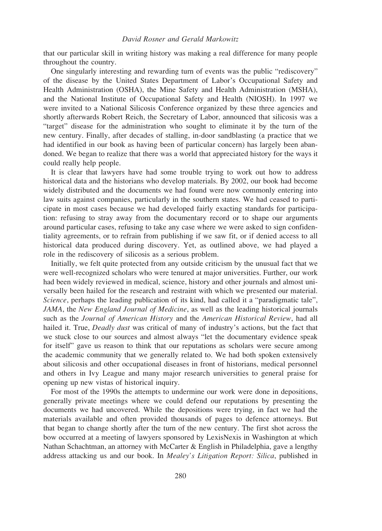that our particular skill in writing history was making a real difference for many people throughout the country.

One singularly interesting and rewarding turn of events was the public "rediscovery" of the disease by the United States Department of Labor's Occupational Safety and Health Administration (OSHA), the Mine Safety and Health Administration (MSHA), and the National Institute of Occupational Safety and Health (NIOSH). In 1997 we were invited to a National Silicosis Conference organized by these three agencies and shortly afterwards Robert Reich, the Secretary of Labor, announced that silicosis was a "target" disease for the administration who sought to eliminate it by the turn of the new century. Finally, after decades of stalling, in-door sandblasting (a practice that we had identified in our book as having been of particular concern) has largely been abandoned. We began to realize that there was a world that appreciated history for the ways it could really help people.

It is clear that lawyers have had some trouble trying to work out how to address historical data and the historians who develop materials. By 2002, our book had become widely distributed and the documents we had found were now commonly entering into law suits against companies, particularly in the southern states. We had ceased to participate in most cases because we had developed fairly exacting standards for participation: refusing to stray away from the documentary record or to shape our arguments around particular cases, refusing to take any case where we were asked to sign confidentiality agreements, or to refrain from publishing if we saw fit, or if denied access to all historical data produced during discovery. Yet, as outlined above, we had played a role in the rediscovery of silicosis as a serious problem.

Initially, we felt quite protected from any outside criticism by the unusual fact that we were well-recognized scholars who were tenured at major universities. Further, our work had been widely reviewed in medical, science, history and other journals and almost universally been hailed for the research and restraint with which we presented our material. Science, perhaps the leading publication of its kind, had called it a "paradigmatic tale", JAMA, the New England Journal of Medicine, as well as the leading historical journals such as the Journal of American History and the American Historical Review, had all hailed it. True, *Deadly dust* was critical of many of industry's actions, but the fact that we stuck close to our sources and almost always "let the documentary evidence speak for itself" gave us reason to think that our reputations as scholars were secure among the academic community that we generally related to. We had both spoken extensively about silicosis and other occupational diseases in front of historians, medical personnel and others in Ivy League and many major research universities to general praise for opening up new vistas of historical inquiry.

For most of the 1990s the attempts to undermine our work were done in depositions, generally private meetings where we could defend our reputations by presenting the documents we had uncovered. While the depositions were trying, in fact we had the materials available and often provided thousands of pages to defence attorneys. But that began to change shortly after the turn of the new century. The first shot across the bow occurred at a meeting of lawyers sponsored by LexisNexis in Washington at which Nathan Schachtman, an attorney with McCarter & English in Philadelphia, gave a lengthy address attacking us and our book. In Mealey's Litigation Report: Silica, published in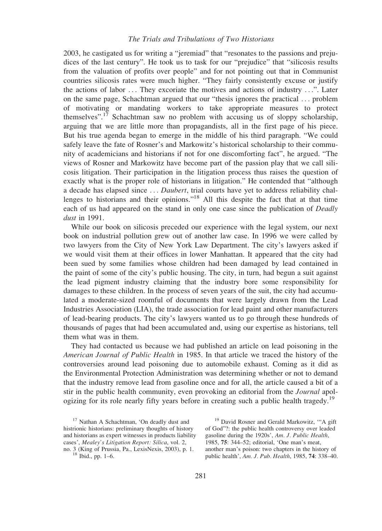2003, he castigated us for writing a "jeremiad" that "resonates to the passions and prejudices of the last century". He took us to task for our "prejudice" that "silicosis results from the valuation of profits over people" and for not pointing out that in Communist countries silicosis rates were much higher. "They fairly consistently excuse or justify the actions of labor ... They excoriate the motives and actions of industry ...". Later on the same page, Schachtman argued that our "thesis ignores the practical ... problem of motivating or mandating workers to take appropriate measures to protect themselves".<sup>17</sup> Schachtman saw no problem with accusing us of sloppy scholarship, arguing that we are little more than propagandists, all in the first page of his piece. But his true agenda began to emerge in the middle of his third paragraph. "We could safely leave the fate of Rosner's and Markowitz's historical scholarship to their community of academicians and historians if not for one discomforting fact", he argued. "The views of Rosner and Markowitz have become part of the passion play that we call silicosis litigation. Their participation in the litigation process thus raises the question of exactly what is the proper role of historians in litigation." He contended that "although a decade has elapsed since ... Daubert, trial courts have yet to address reliability challenges to historians and their opinions."<sup>18</sup> All this despite the fact that at that time each of us had appeared on the stand in only one case since the publication of *Deadly* dust in 1991.

While our book on silicosis preceded our experience with the legal system, our next book on industrial pollution grew out of another law case. In 1996 we were called by two lawyers from the City of New York Law Department. The city's lawyers asked if we would visit them at their offices in lower Manhattan. It appeared that the city had been sued by some families whose children had been damaged by lead contained in the paint of some of the city's public housing. The city, in turn, had begun a suit against the lead pigment industry claiming that the industry bore some responsibility for damages to these children. In the process of seven years of the suit, the city had accumulated a moderate-sized roomful of documents that were largely drawn from the Lead Industries Association (LIA), the trade association for lead paint and other manufacturers of lead-bearing products. The city's lawyers wanted us to go through these hundreds of thousands of pages that had been accumulated and, using our expertise as historians, tell them what was in them.

They had contacted us because we had published an article on lead poisoning in the American Journal of Public Health in 1985. In that article we traced the history of the controversies around lead poisoning due to automobile exhaust. Coming as it did as the Environmental Protection Administration was determining whether or not to demand that the industry remove lead from gasoline once and for all, the article caused a bit of a stir in the public health community, even provoking an editorial from the *Journal* apologizing for its role nearly fifty years before in creating such a public health tragedy.<sup>19</sup>

<sup>19</sup> David Rosner and Gerald Markowitz, "A gift of God"?: the public health controversy over leaded gasoline during the 1920s', Am. J. Public Health, 1985, 75: 344–52; editorial, 'One man's meat, another man's poison: two chapters in the history of public health', Am. J. Pub. Health, 1985, 74: 338–40.

<sup>&</sup>lt;sup>17</sup> Nathan A Schachtman, 'On deadly dust and histrionic historians: preliminary thoughts of history and historians as expert witnesses in products liability cases', Mealey's Litigation Report: Silica, vol. 2, no. 3 (King of Prussia, Pa., LexisNexis, 2003), p. 1. <sup>18</sup> Ibid., pp. 1–6.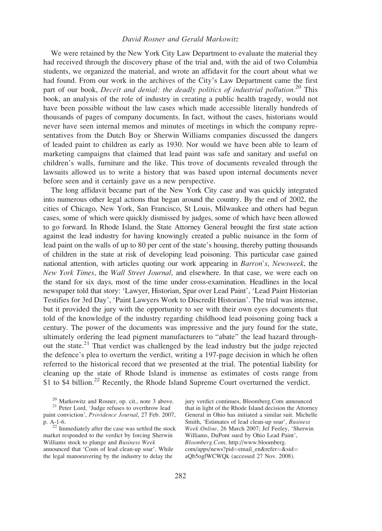We were retained by the New York City Law Department to evaluate the material they had received through the discovery phase of the trial and, with the aid of two Columbia students, we organized the material, and wrote an affidavit for the court about what we had found. From our work in the archives of the City's Law Department came the first part of our book, Deceit and denial: the deadly politics of industrial pollution.<sup>20</sup> This book, an analysis of the role of industry in creating a public health tragedy, would not have been possible without the law cases which made accessible literally hundreds of thousands of pages of company documents. In fact, without the cases, historians would never have seen internal memos and minutes of meetings in which the company representatives from the Dutch Boy or Sherwin Williams companies discussed the dangers of leaded paint to children as early as 1930. Nor would we have been able to learn of marketing campaigns that claimed that lead paint was safe and sanitary and useful on children's walls, furniture and the like. This trove of documents revealed through the lawsuits allowed us to write a history that was based upon internal documents never before seen and it certainly gave us a new perspective.

The long affidavit became part of the New York City case and was quickly integrated into numerous other legal actions that began around the country. By the end of 2002, the cities of Chicago, New York, San Francisco, St Louis, Milwaukee and others had begun cases, some of which were quickly dismissed by judges, some of which have been allowed to go forward. In Rhode Island, the State Attorney General brought the first state action against the lead industry for having knowingly created a public nuisance in the form of lead paint on the walls of up to 80 per cent of the state's housing, thereby putting thousands of children in the state at risk of developing lead poisoning. This particular case gained national attention, with articles quoting our work appearing in Barron's, Newsweek, the New York Times, the Wall Street Journal, and elsewhere. In that case, we were each on the stand for six days, most of the time under cross-examination. Headlines in the local newspaper told that story: 'Lawyer, Historian, Spar over Lead Paint', 'Lead Paint Historian Testifies for 3rd Day', 'Paint Lawyers Work to Discredit Historian'. The trial was intense, but it provided the jury with the opportunity to see with their own eyes documents that told of the knowledge of the industry regarding childhood lead poisoning going back a century. The power of the documents was impressive and the jury found for the state, ultimately ordering the lead pigment manufacturers to "abate" the lead hazard throughout the state. $2<sup>1</sup>$  That verdict was challenged by the lead industry but the judge rejected the defence's plea to overturn the verdict, writing a 197-page decision in which he often referred to the historical record that we presented at the trial. The potential liability for cleaning up the state of Rhode Island is immense as estimates of costs range from \$1 to \$4 billion.<sup>22</sup> Recently, the Rhode Island Supreme Court overturned the verdict.

<sup>20</sup> Markowitz and Rosner, op. cit., note 3 above.<br><sup>21</sup> Peter Lord, 'Judge refuses to overthrow lead paint conviction', Providence Journal, 27 Feb. 2007,

jury verdict continues, Bloomberg.Com announced that in light of the Rhode Island decision the Attorney General in Ohio has initiated a similar suit. Michelle Smith, 'Estimates of lead clean-up soar', Business Week Online, 26 March 2007; Jef Feeley, 'Sherwin Williams, DuPont sued by Ohio Lead Paint', Bloomberg.Com, [http://www.bloomberg.](http://www.bloomberg) com/apps/news?pid=email\_en&refer=&sid= aQb5ogfWCWQk (accessed 27 Nov. 2008).

p. A-1-6. <sup>22</sup> Immediately after the case was settled the stock market responded to the verdict by forcing Sherwin Williams stock to plunge and Business Week announced that 'Costs of lead clean-up soar'. While the legal manoeuvering by the industry to delay the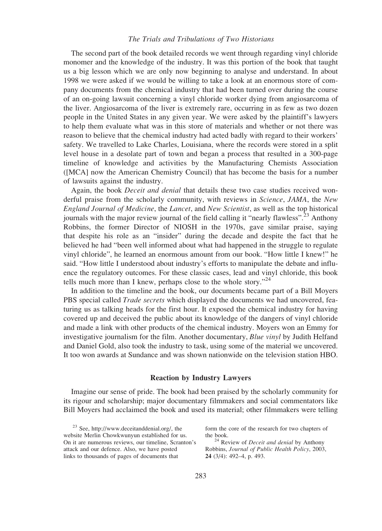The second part of the book detailed records we went through regarding vinyl chloride monomer and the knowledge of the industry. It was this portion of the book that taught us a big lesson which we are only now beginning to analyse and understand. In about 1998 we were asked if we would be willing to take a look at an enormous store of company documents from the chemical industry that had been turned over during the course of an on-going lawsuit concerning a vinyl chloride worker dying from angiosarcoma of the liver. Angiosarcoma of the liver is extremely rare, occurring in as few as two dozen people in the United States in any given year. We were asked by the plaintiff's lawyers to help them evaluate what was in this store of materials and whether or not there was reason to believe that the chemical industry had acted badly with regard to their workers' safety. We travelled to Lake Charles, Louisiana, where the records were stored in a split level house in a desolate part of town and began a process that resulted in a 300-page timeline of knowledge and activities by the Manufacturing Chemists Association ([MCA] now the American Chemistry Council) that has become the basis for a number of lawsuits against the industry.

Again, the book Deceit and denial that details these two case studies received wonderful praise from the scholarly community, with reviews in *Science*, *JAMA*, the *New* England Journal of Medicine, the Lancet, and New Scientist, as well as the top historical journals with the major review journal of the field calling it "nearly flawless".<sup>23</sup> Anthony Robbins, the former Director of NIOSH in the 1970s, gave similar praise, saying that despite his role as an "insider" during the decade and despite the fact that he believed he had "been well informed about what had happened in the struggle to regulate vinyl chloride", he learned an enormous amount from our book. "How little I knew!" he said. "How little I understood about industry's efforts to manipulate the debate and influence the regulatory outcomes. For these classic cases, lead and vinyl chloride, this book tells much more than I knew, perhaps close to the whole story.<sup> $24$ </sup>

In addition to the timeline and the book, our documents became part of a Bill Moyers PBS special called *Trade secrets* which displayed the documents we had uncovered, featuring us as talking heads for the first hour. It exposed the chemical industry for having covered up and deceived the public about its knowledge of the dangers of vinyl chloride and made a link with other products of the chemical industry. Moyers won an Emmy for investigative journalism for the film. Another documentary, Blue vinyl by Judith Helfand and Daniel Gold, also took the industry to task, using some of the material we uncovered. It too won awards at Sundance and was shown nationwide on the television station HBO.

## Reaction by Industry Lawyers

Imagine our sense of pride. The book had been praised by the scholarly community for its rigour and scholarship; major documentary filmmakers and social commentators like Bill Moyers had acclaimed the book and used its material; other filmmakers were telling

form the core of the research for two chapters of the book.<br><sup>24</sup> Review of *Deceit and denial* by Anthony

Robbins, Journal of Public Health Policy, 2003, 24 (3/4): 492–4, p. 493.

<sup>23</sup> See, [http://www.deceitanddenial.org/,](http://www.deceitanddenial.org/) the website Merlin Chowkwunyun established for us. On it are numerous reviews, our timeline, Scranton's attack and our defence. Also, we have posted links to thousands of pages of documents that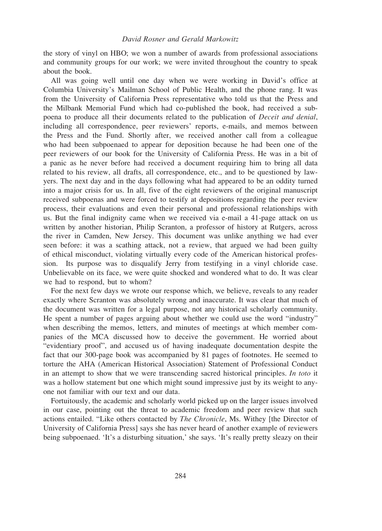the story of vinyl on HBO; we won a number of awards from professional associations and community groups for our work; we were invited throughout the country to speak about the book.

All was going well until one day when we were working in David's office at Columbia University's Mailman School of Public Health, and the phone rang. It was from the University of California Press representative who told us that the Press and the Milbank Memorial Fund which had co-published the book, had received a subpoena to produce all their documents related to the publication of Deceit and denial, including all correspondence, peer reviewers' reports, e-mails, and memos between the Press and the Fund. Shortly after, we received another call from a colleague who had been subpoenaed to appear for deposition because he had been one of the peer reviewers of our book for the University of California Press. He was in a bit of a panic as he never before had received a document requiring him to bring all data related to his review, all drafts, all correspondence, etc., and to be questioned by lawyers. The next day and in the days following what had appeared to be an oddity turned into a major crisis for us. In all, five of the eight reviewers of the original manuscript received subpoenas and were forced to testify at depositions regarding the peer review process, their evaluations and even their personal and professional relationships with us. But the final indignity came when we received via e-mail a 41-page attack on us written by another historian, Philip Scranton, a professor of history at Rutgers, across the river in Camden, New Jersey. This document was unlike anything we had ever seen before: it was a scathing attack, not a review, that argued we had been guilty of ethical misconduct, violating virtually every code of the American historical profession. Its purpose was to disqualify Jerry from testifying in a vinyl chloride case. Unbelievable on its face, we were quite shocked and wondered what to do. It was clear we had to respond, but to whom?

For the next few days we wrote our response which, we believe, reveals to any reader exactly where Scranton was absolutely wrong and inaccurate. It was clear that much of the document was written for a legal purpose, not any historical scholarly community. He spent a number of pages arguing about whether we could use the word "industry" when describing the memos, letters, and minutes of meetings at which member companies of the MCA discussed how to deceive the government. He worried about "evidentiary proof", and accused us of having inadequate documentation despite the fact that our 300-page book was accompanied by 81 pages of footnotes. He seemed to torture the AHA (American Historical Association) Statement of Professional Conduct in an attempt to show that we were transcending sacred historical principles. In toto it was a hollow statement but one which might sound impressive just by its weight to anyone not familiar with our text and our data.

Fortuitously, the academic and scholarly world picked up on the larger issues involved in our case, pointing out the threat to academic freedom and peer review that such actions entailed. "Like others contacted by The Chronicle, Ms. Withey [the Director of University of California Press] says she has never heard of another example of reviewers being subpoenaed. 'It's a disturbing situation,' she says. 'It's really pretty sleazy on their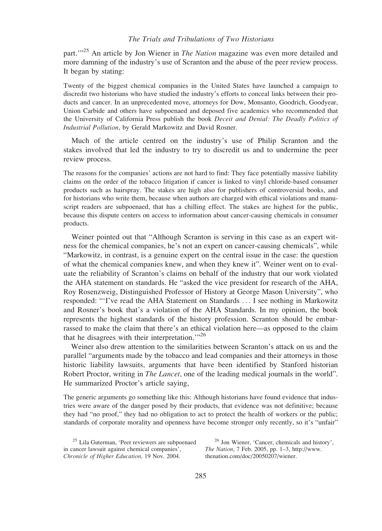part."<sup>25</sup> An article by Jon Wiener in *The Nation* magazine was even more detailed and more damning of the industry's use of Scranton and the abuse of the peer review process. It began by stating:

Twenty of the biggest chemical companies in the United States have launched a campaign to discredit two historians who have studied the industry's efforts to conceal links between their products and cancer. In an unprecedented move, attorneys for Dow, Monsanto, Goodrich, Goodyear, Union Carbide and others have subpoenaed and deposed five academics who recommended that the University of California Press publish the book *Deceit and Denial: The Deadly Politics of* Industrial Pollution, by Gerald Markowitz and David Rosner.

Much of the article centred on the industry's use of Philip Scranton and the stakes involved that led the industry to try to discredit us and to undermine the peer review process.

The reasons for the companies' actions are not hard to find: They face potentially massive liability claims on the order of the tobacco litigation if cancer is linked to vinyl chloride-based consumer products such as hairspray. The stakes are high also for publishers of controversial books, and for historians who write them, because when authors are charged with ethical violations and manuscript readers are subpoenaed, that has a chilling effect. The stakes are highest for the public, because this dispute centers on access to information about cancer-causing chemicals in consumer products.

Weiner pointed out that "Although Scranton is serving in this case as an expert witness for the chemical companies, he's not an expert on cancer-causing chemicals", while "Markowitz, in contrast, is a genuine expert on the central issue in the case: the question of what the chemical companies knew, and when they knew it". Weiner went on to evaluate the reliability of Scranton's claims on behalf of the industry that our work violated the AHA statement on standards. He "asked the vice president for research of the AHA, Roy Rosenzweig, Distinguished Professor of History at George Mason University", who responded: "'I've read the AHA Statement on Standards ... I see nothing in Markowitz and Rosner's book that's a violation of the AHA Standards. In my opinion, the book represents the highest standards of the history profession. Scranton should be embarrassed to make the claim that there's an ethical violation here—as opposed to the claim that he disagrees with their interpretation."<sup>26</sup>

Weiner also drew attention to the similarities between Scranton's attack on us and the parallel "arguments made by the tobacco and lead companies and their attorneys in those historic liability lawsuits, arguments that have been identified by Stanford historian Robert Proctor, writing in *The Lancet*, one of the leading medical journals in the world". He summarized Proctor's article saying,

The generic arguments go something like this: Although historians have found evidence that industries were aware of the danger posed by their products, that evidence was not definitive; because they had "no proof," they had no obligation to act to protect the health of workers or the public; standards of corporate morality and openness have become stronger only recently, so it's "unfair"

<sup>25</sup> Lila Guterman, 'Peer reviewers are subpoenaed in cancer lawsuit against chemical companies', Chronicle of Higher Education, 19 Nov. 2004.

<sup>26</sup> Jon Wiener, 'Cancer, chemicals and history', The Nation, 7 Feb. 2005, pp. 1–3, [http://www.](http://www) thenation.com/doc/20050207/wiener.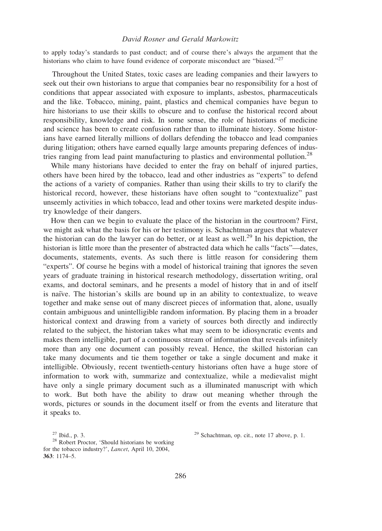to apply today's standards to past conduct; and of course there's always the argument that the historians who claim to have found evidence of corporate misconduct are "biased."<sup>27</sup>

Throughout the United States, toxic cases are leading companies and their lawyers to seek out their own historians to argue that companies bear no responsibility for a host of conditions that appear associated with exposure to implants, asbestos, pharmaceuticals and the like. Tobacco, mining, paint, plastics and chemical companies have begun to hire historians to use their skills to obscure and to confuse the historical record about responsibility, knowledge and risk. In some sense, the role of historians of medicine and science has been to create confusion rather than to illuminate history. Some historians have earned literally millions of dollars defending the tobacco and lead companies during litigation; others have earned equally large amounts preparing defences of industries ranging from lead paint manufacturing to plastics and environmental pollution.<sup>28</sup>

While many historians have decided to enter the fray on behalf of injured parties, others have been hired by the tobacco, lead and other industries as "experts" to defend the actions of a variety of companies. Rather than using their skills to try to clarify the historical record, however, these historians have often sought to "contextualize" past unseemly activities in which tobacco, lead and other toxins were marketed despite industry knowledge of their dangers.

How then can we begin to evaluate the place of the historian in the courtroom? First, we might ask what the basis for his or her testimony is. Schachtman argues that whatever the historian can do the lawyer can do better, or at least as well.<sup>29</sup> In his depiction, the historian is little more than the presenter of abstracted data which he calls "facts"—dates, documents, statements, events. As such there is little reason for considering them "experts". Of course he begins with a model of historical training that ignores the seven years of graduate training in historical research methodology, dissertation writing, oral exams, and doctoral seminars, and he presents a model of history that in and of itself is naive. The historian's skills are bound up in an ability to contextualize, to weave together and make sense out of many discreet pieces of information that, alone, usually contain ambiguous and unintelligible random information. By placing them in a broader historical context and drawing from a variety of sources both directly and indirectly related to the subject, the historian takes what may seem to be idiosyncratic events and makes them intelligible, part of a continuous stream of information that reveals infinitely more than any one document can possibly reveal. Hence, the skilled historian can take many documents and tie them together or take a single document and make it intelligible. Obviously, recent twentieth-century historians often have a huge store of information to work with, summarize and contextualize, while a medievalist might have only a single primary document such as a illuminated manuscript with which to work. But both have the ability to draw out meaning whether through the words, pictures or sounds in the document itself or from the events and literature that it speaks to.

 $^{27}$  Ibid., p. 3.<br><sup>28</sup> Robert Proctor, 'Should historians be working for the tobacco industry?', Lancet, April 10, 2004, 363: 1174–5.

<sup>29</sup> Schachtman, op. cit., note 17 above, p. 1.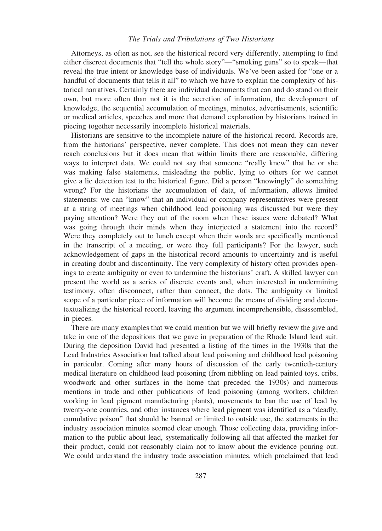Attorneys, as often as not, see the historical record very differently, attempting to find either discreet documents that "tell the whole story"—"smoking guns" so to speak—that reveal the true intent or knowledge base of individuals. We've been asked for "one or a handful of documents that tells it all" to which we have to explain the complexity of historical narratives. Certainly there are individual documents that can and do stand on their own, but more often than not it is the accretion of information, the development of knowledge, the sequential accumulation of meetings, minutes, advertisements, scientific or medical articles, speeches and more that demand explanation by historians trained in piecing together necessarily incomplete historical materials.

Historians are sensitive to the incomplete nature of the historical record. Records are, from the historians' perspective, never complete. This does not mean they can never reach conclusions but it does mean that within limits there are reasonable, differing ways to interpret data. We could not say that someone "really knew" that he or she was making false statements, misleading the public, lying to others for we cannot give a lie detection test to the historical figure. Did a person "knowingly" do something wrong? For the historians the accumulation of data, of information, allows limited statements: we can "know" that an individual or company representatives were present at a string of meetings when childhood lead poisoning was discussed but were they paying attention? Were they out of the room when these issues were debated? What was going through their minds when they interjected a statement into the record? Were they completely out to lunch except when their words are specifically mentioned in the transcript of a meeting, or were they full participants? For the lawyer, such acknowledgement of gaps in the historical record amounts to uncertainty and is useful in creating doubt and discontinuity. The very complexity of history often provides openings to create ambiguity or even to undermine the historians' craft. A skilled lawyer can present the world as a series of discrete events and, when interested in undermining testimony, often disconnect, rather than connect, the dots. The ambiguity or limited scope of a particular piece of information will become the means of dividing and decontextualizing the historical record, leaving the argument incomprehensible, disassembled, in pieces.

There are many examples that we could mention but we will briefly review the give and take in one of the depositions that we gave in preparation of the Rhode Island lead suit. During the deposition David had presented a listing of the times in the 1930s that the Lead Industries Association had talked about lead poisoning and childhood lead poisoning in particular. Coming after many hours of discussion of the early twentieth-century medical literature on childhood lead poisoning (from nibbling on lead painted toys, cribs, woodwork and other surfaces in the home that preceded the 1930s) and numerous mentions in trade and other publications of lead poisoning (among workers, children working in lead pigment manufacturing plants), movements to ban the use of lead by twenty-one countries, and other instances where lead pigment was identified as a "deadly, cumulative poison" that should be banned or limited to outside use, the statements in the industry association minutes seemed clear enough. Those collecting data, providing information to the public about lead, systematically following all that affected the market for their product, could not reasonably claim not to know about the evidence pouring out. We could understand the industry trade association minutes, which proclaimed that lead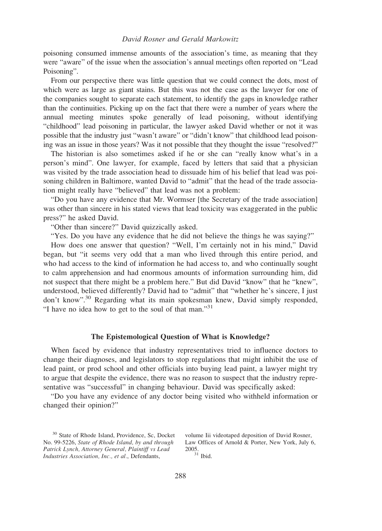poisoning consumed immense amounts of the association's time, as meaning that they were "aware" of the issue when the association's annual meetings often reported on "Lead Poisoning".

From our perspective there was little question that we could connect the dots, most of which were as large as giant stains. But this was not the case as the lawyer for one of the companies sought to separate each statement, to identify the gaps in knowledge rather than the continuities. Picking up on the fact that there were a number of years where the annual meeting minutes spoke generally of lead poisoning, without identifying "childhood" lead poisoning in particular, the lawyer asked David whether or not it was possible that the industry just "wasn't aware" or "didn't know" that childhood lead poisoning was an issue in those years? Was it not possible that they thought the issue "resolved?"

The historian is also sometimes asked if he or she can "really know what's in a person's mind". One lawyer, for example, faced by letters that said that a physician was visited by the trade association head to dissuade him of his belief that lead was poisoning children in Baltimore, wanted David to "admit" that the head of the trade association might really have "believed" that lead was not a problem:

"Do you have any evidence that Mr. Wormser [the Secretary of the trade association] was other than sincere in his stated views that lead toxicity was exaggerated in the public press?" he asked David.

"Other than sincere?" David quizzically asked.

"Yes. Do you have any evidence that he did not believe the things he was saying?"

How does one answer that question? "Well, I'm certainly not in his mind," David began, but "it seems very odd that a man who lived through this entire period, and who had access to the kind of information he had access to, and who continually sought to calm apprehension and had enormous amounts of information surrounding him, did not suspect that there might be a problem here." But did David "know" that he "knew", understood, believed differently? David had to "admit" that "whether he's sincere, I just don't know".<sup>30</sup> Regarding what its main spokesman knew, David simply responded, "I have no idea how to get to the soul of that man."<sup>31</sup>

## The Epistemological Question of What is Knowledge?

When faced by evidence that industry representatives tried to influence doctors to change their diagnoses, and legislators to stop regulations that might inhibit the use of lead paint, or prod school and other officials into buying lead paint, a lawyer might try to argue that despite the evidence, there was no reason to suspect that the industry representative was "successful" in changing behaviour. David was specifically asked:

"Do you have any evidence of any doctor being visited who withheld information or changed their opinion?"

<sup>30</sup> State of Rhode Island, Providence, Sc, Docket No. 99-5226, State of Rhode Island, by and through Patrick Lynch, Attorney General, Plaintiff vs Lead Industries Association, Inc., et al., Defendants,

volume Iii videotaped deposition of David Rosner, Law Offices of Arnold & Porter, New York, July 6,  $2005.$ <sup>31</sup> Ibid.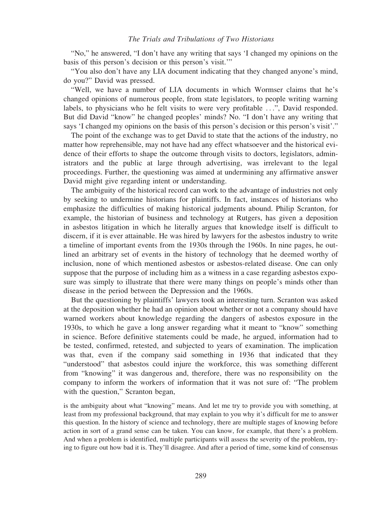"No," he answered, "I don't have any writing that says 'I changed my opinions on the basis of this person's decision or this person's visit.'"

"You also don't have any LIA document indicating that they changed anyone's mind, do you?" David was pressed.

"Well, we have a number of LIA documents in which Wormser claims that he's changed opinions of numerous people, from state legislators, to people writing warning labels, to physicians who he felt visits to were very profitable ...", David responded. But did David "know" he changed peoples' minds? No. "I don't have any writing that says 'I changed my opinions on the basis of this person's decision or this person's visit'."

The point of the exchange was to get David to state that the actions of the industry, no matter how reprehensible, may not have had any effect whatsoever and the historical evidence of their efforts to shape the outcome through visits to doctors, legislators, administrators and the public at large through advertising, was irrelevant to the legal proceedings. Further, the questioning was aimed at undermining any affirmative answer David might give regarding intent or understanding.

The ambiguity of the historical record can work to the advantage of industries not only by seeking to undermine historians for plaintiffs. In fact, instances of historians who emphasize the difficulties of making historical judgments abound. Philip Scranton, for example, the historian of business and technology at Rutgers, has given a deposition in asbestos litigation in which he literally argues that knowledge itself is difficult to discern, if it is ever attainable. He was hired by lawyers for the asbestos industry to write a timeline of important events from the 1930s through the 1960s. In nine pages, he outlined an arbitrary set of events in the history of technology that he deemed worthy of inclusion, none of which mentioned asbestos or asbestos-related disease. One can only suppose that the purpose of including him as a witness in a case regarding asbestos exposure was simply to illustrate that there were many things on people's minds other than disease in the period between the Depression and the 1960s.

But the questioning by plaintiffs' lawyers took an interesting turn. Scranton was asked at the deposition whether he had an opinion about whether or not a company should have warned workers about knowledge regarding the dangers of asbestos exposure in the 1930s, to which he gave a long answer regarding what it meant to "know" something in science. Before definitive statements could be made, he argued, information had to be tested, confirmed, retested, and subjected to years of examination. The implication was that, even if the company said something in 1936 that indicated that they "understood" that asbestos could injure the workforce, this was something different from "knowing" it was dangerous and, therefore, there was no responsibility on the company to inform the workers of information that it was not sure of: "The problem with the question," Scranton began,

is the ambiguity about what "knowing" means. And let me try to provide you with something, at least from my professional background, that may explain to you why it's difficult for me to answer this question. In the history of science and technology, there are multiple stages of knowing before action in sort of a grand sense can be taken. You can know, for example, that there's a problem. And when a problem is identified, multiple participants will assess the severity of the problem, trying to figure out how bad it is. They'll disagree. And after a period of time, some kind of consensus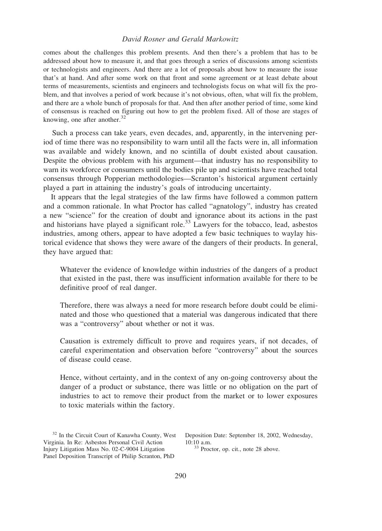comes about the challenges this problem presents. And then there's a problem that has to be addressed about how to measure it, and that goes through a series of discussions among scientists or technologists and engineers. And there are a lot of proposals about how to measure the issue that's at hand. And after some work on that front and some agreement or at least debate about terms of measurements, scientists and engineers and technologists focus on what will fix the problem, and that involves a period of work because it's not obvious, often, what will fix the problem, and there are a whole bunch of proposals for that. And then after another period of time, some kind of consensus is reached on figuring out how to get the problem fixed. All of those are stages of knowing, one after another. $32$ 

Such a process can take years, even decades, and, apparently, in the intervening period of time there was no responsibility to warn until all the facts were in, all information was available and widely known, and no scintilla of doubt existed about causation. Despite the obvious problem with his argument—that industry has no responsibility to warn its workforce or consumers until the bodies pile up and scientists have reached total consensus through Popperian methodologies—Scranton's historical argument certainly played a part in attaining the industry's goals of introducing uncertainty.

It appears that the legal strategies of the law firms have followed a common pattern and a common rationale. In what Proctor has called "agnatology", industry has created a new "science" for the creation of doubt and ignorance about its actions in the past and historians have played a significant role.<sup>33</sup> Lawyers for the tobacco, lead, asbestos industries, among others, appear to have adopted a few basic techniques to waylay historical evidence that shows they were aware of the dangers of their products. In general, they have argued that:

Whatever the evidence of knowledge within industries of the dangers of a product that existed in the past, there was insufficient information available for there to be definitive proof of real danger.

Therefore, there was always a need for more research before doubt could be eliminated and those who questioned that a material was dangerous indicated that there was a "controversy" about whether or not it was.

Causation is extremely difficult to prove and requires years, if not decades, of careful experimentation and observation before "controversy" about the sources of disease could cease.

Hence, without certainty, and in the context of any on-going controversy about the danger of a product or substance, there was little or no obligation on the part of industries to act to remove their product from the market or to lower exposures to toxic materials within the factory.

<sup>32</sup> In the Circuit Court of Kanawha County, West Virginia. In Re: Asbestos Personal Civil Action Injury Litigation Mass No. 02-C-9004 Litigation Panel Deposition Transcript of Philip Scranton, PhD

Deposition Date: September 18, 2002, Wednesday, 10:10 a.m.  $33$  Proctor, op. cit., note 28 above.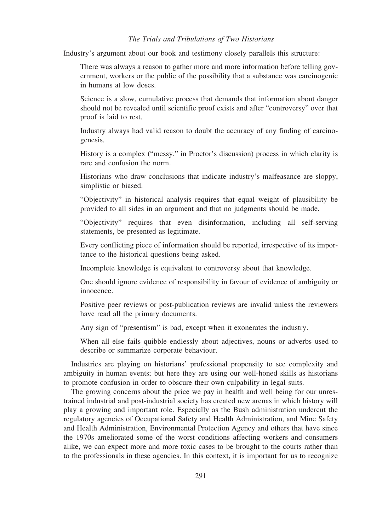Industry's argument about our book and testimony closely parallels this structure:

There was always a reason to gather more and more information before telling government, workers or the public of the possibility that a substance was carcinogenic in humans at low doses.

Science is a slow, cumulative process that demands that information about danger should not be revealed until scientific proof exists and after "controversy" over that proof is laid to rest.

Industry always had valid reason to doubt the accuracy of any finding of carcinogenesis.

History is a complex ("messy," in Proctor's discussion) process in which clarity is rare and confusion the norm.

Historians who draw conclusions that indicate industry's malfeasance are sloppy, simplistic or biased.

"Objectivity" in historical analysis requires that equal weight of plausibility be provided to all sides in an argument and that no judgments should be made.

"Objectivity" requires that even disinformation, including all self-serving statements, be presented as legitimate.

Every conflicting piece of information should be reported, irrespective of its importance to the historical questions being asked.

Incomplete knowledge is equivalent to controversy about that knowledge.

One should ignore evidence of responsibility in favour of evidence of ambiguity or innocence.

Positive peer reviews or post-publication reviews are invalid unless the reviewers have read all the primary documents.

Any sign of "presentism" is bad, except when it exonerates the industry.

When all else fails quibble endlessly about adjectives, nouns or adverbs used to describe or summarize corporate behaviour.

Industries are playing on historians' professional propensity to see complexity and ambiguity in human events; but here they are using our well-honed skills as historians to promote confusion in order to obscure their own culpability in legal suits.

The growing concerns about the price we pay in health and well being for our unrestrained industrial and post-industrial society has created new arenas in which history will play a growing and important role. Especially as the Bush administration undercut the regulatory agencies of Occupational Safety and Health Administration, and Mine Safety and Health Administration, Environmental Protection Agency and others that have since the 1970s ameliorated some of the worst conditions affecting workers and consumers alike, we can expect more and more toxic cases to be brought to the courts rather than to the professionals in these agencies. In this context, it is important for us to recognize